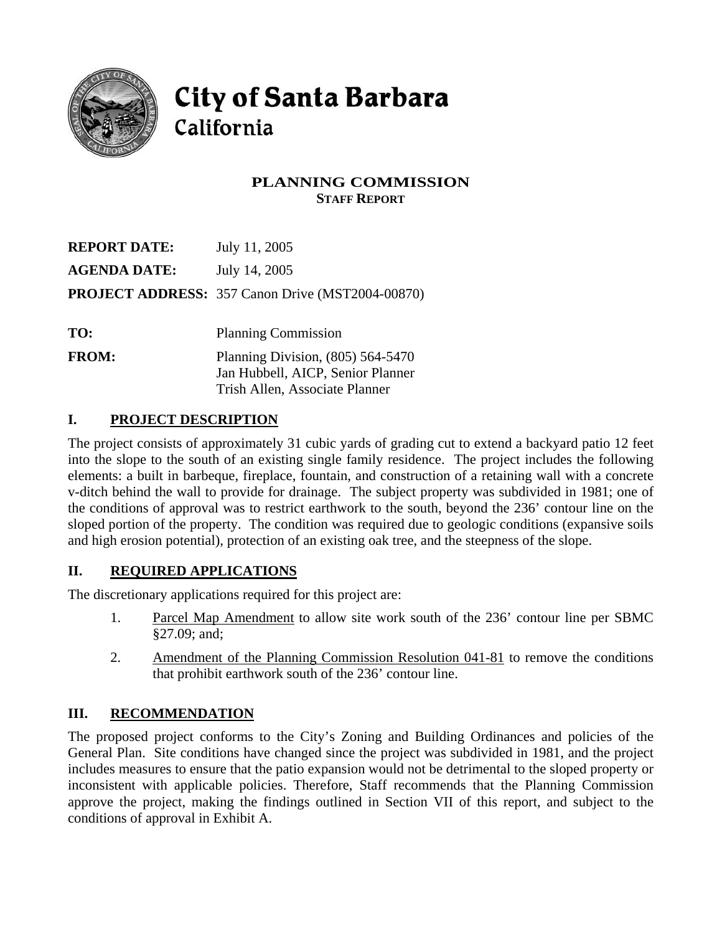

# **City of Santa Barbara** California

Trish Allen, Associate Planner

## **PLANNING COMMISSION STAFF REPORT**

| <b>REPORT DATE:</b> | July 11, 2005                                           |  |
|---------------------|---------------------------------------------------------|--|
| <b>AGENDA DATE:</b> | July 14, 2005                                           |  |
|                     | <b>PROJECT ADDRESS: 357 Canon Drive (MST2004-00870)</b> |  |
|                     |                                                         |  |
| TO:                 | <b>Planning Commission</b>                              |  |
| <b>FROM:</b>        | Planning Division, (805) 564-5470                       |  |
|                     | Jan Hubbell, AICP, Senior Planner                       |  |

# **I. PROJECT DESCRIPTION**

The project consists of approximately 31 cubic yards of grading cut to extend a backyard patio 12 feet into the slope to the south of an existing single family residence. The project includes the following elements: a built in barbeque, fireplace, fountain, and construction of a retaining wall with a concrete v-ditch behind the wall to provide for drainage. The subject property was subdivided in 1981; one of the conditions of approval was to restrict earthwork to the south, beyond the 236' contour line on the sloped portion of the property. The condition was required due to geologic conditions (expansive soils and high erosion potential), protection of an existing oak tree, and the steepness of the slope.

## **II. REQUIRED APPLICATIONS**

The discretionary applications required for this project are:

- 1. Parcel Map Amendment to allow site work south of the 236' contour line per SBMC §27.09; and;
- 2. Amendment of the Planning Commission Resolution 041-81 to remove the conditions that prohibit earthwork south of the 236' contour line.

## **III. RECOMMENDATION**

The proposed project conforms to the City's Zoning and Building Ordinances and policies of the General Plan. Site conditions have changed since the project was subdivided in 1981, and the project includes measures to ensure that the patio expansion would not be detrimental to the sloped property or inconsistent with applicable policies. Therefore, Staff recommends that the Planning Commission approve the project, making the findings outlined in Section VII of this report, and subject to the conditions of approval in Exhibit A.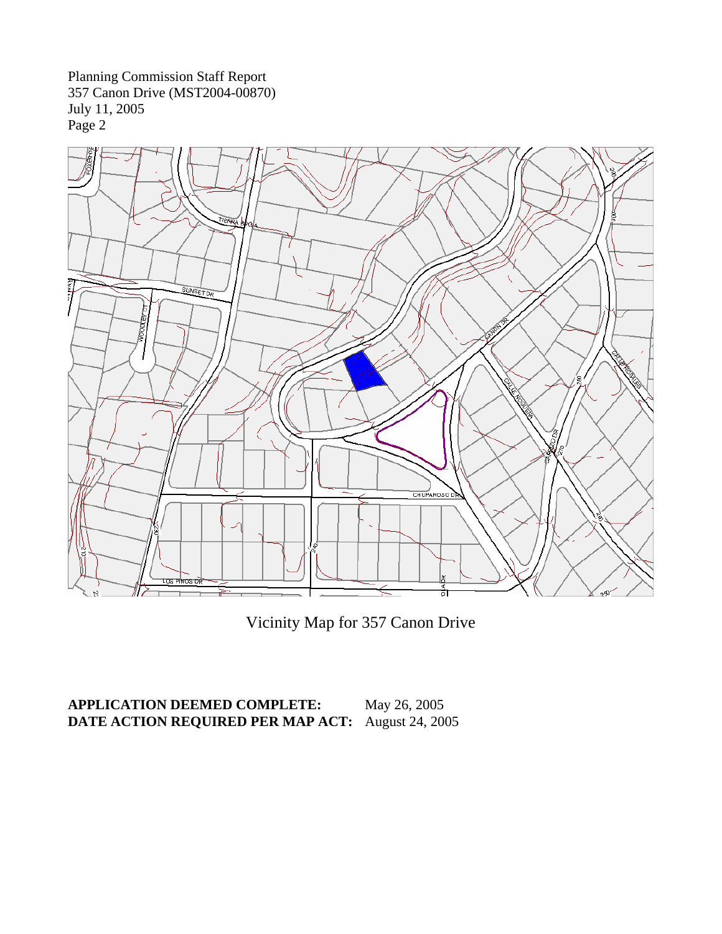

Vicinity Map for 357 Canon Drive

## **APPLICATION DEEMED COMPLETE:** May 26, 2005 **DATE ACTION REQUIRED PER MAP ACT:** August 24, 2005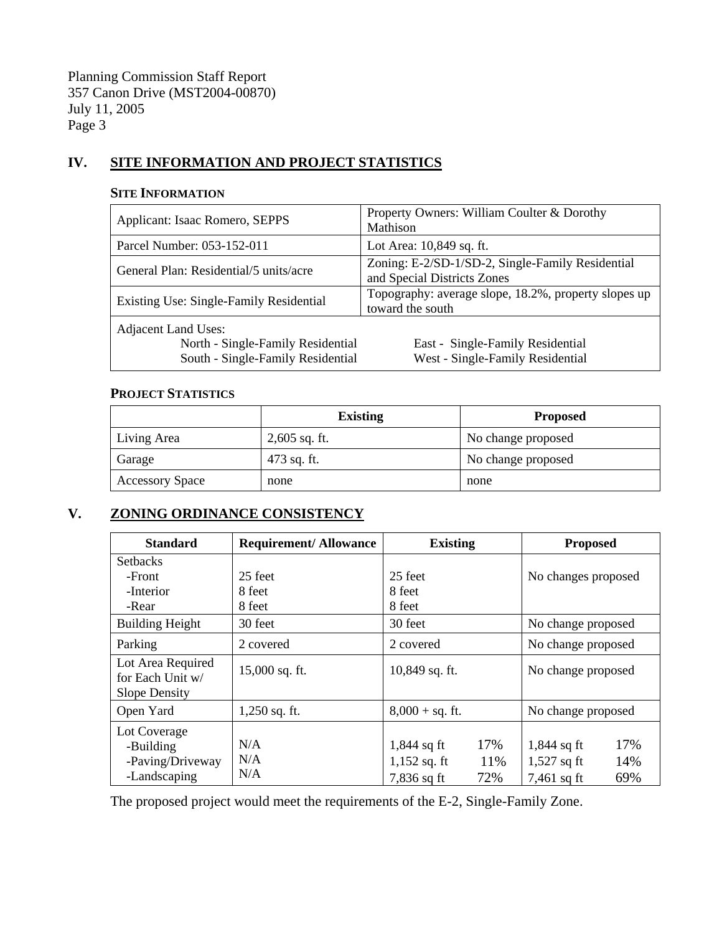## **IV. SITE INFORMATION AND PROJECT STATISTICS**

#### **SITE INFORMATION**

| Applicant: Isaac Romero, SEPPS                                                                       | Property Owners: William Coulter & Dorothy<br>Mathison                          |  |
|------------------------------------------------------------------------------------------------------|---------------------------------------------------------------------------------|--|
| Parcel Number: 053-152-011                                                                           | Lot Area: 10,849 sq. ft.                                                        |  |
| General Plan: Residential/5 units/acre                                                               | Zoning: E-2/SD-1/SD-2, Single-Family Residential<br>and Special Districts Zones |  |
| Existing Use: Single-Family Residential                                                              | Topography: average slope, 18.2%, property slopes up<br>toward the south        |  |
| <b>Adjacent Land Uses:</b><br>North - Single-Family Residential<br>South - Single-Family Residential | East - Single-Family Residential<br>West - Single-Family Residential            |  |

#### **PROJECT STATISTICS**

|                        | <b>Existing</b> | <b>Proposed</b>    |  |
|------------------------|-----------------|--------------------|--|
| Living Area            | $2,605$ sq. ft. | No change proposed |  |
| Garage                 | 473 sq. ft.     | No change proposed |  |
| <b>Accessory Space</b> | none            | none               |  |

# **V. ZONING ORDINANCE CONSISTENCY**

| <b>Standard</b>                                               | <b>Requirement/Allowance</b> | <b>Existing</b>                                                     | <b>Proposed</b>                                                      |
|---------------------------------------------------------------|------------------------------|---------------------------------------------------------------------|----------------------------------------------------------------------|
| <b>Setbacks</b>                                               |                              |                                                                     |                                                                      |
| -Front                                                        | 25 feet                      | 25 feet                                                             | No changes proposed                                                  |
| -Interior                                                     | 8 feet                       | 8 feet                                                              |                                                                      |
| -Rear                                                         | 8 feet                       | 8 feet                                                              |                                                                      |
| <b>Building Height</b>                                        | 30 feet                      | 30 feet                                                             | No change proposed                                                   |
| Parking                                                       | 2 covered                    | 2 covered                                                           | No change proposed                                                   |
| Lot Area Required<br>for Each Unit w/<br><b>Slope Density</b> | 15,000 sq. ft.               | 10,849 sq. ft.                                                      | No change proposed                                                   |
| Open Yard                                                     | $1,250$ sq. ft.              | $8,000 + sq.$ ft.                                                   | No change proposed                                                   |
| Lot Coverage<br>-Building<br>-Paving/Driveway<br>-Landscaping | N/A<br>N/A<br>N/A            | 17%<br>$1,844$ sq ft<br>11%<br>$1,152$ sq. ft<br>72%<br>7,836 sq ft | 17%<br>$1,844$ sq ft<br>14%<br>$1,527$ sq ft<br>69%<br>$7,461$ sq ft |

The proposed project would meet the requirements of the E-2, Single-Family Zone.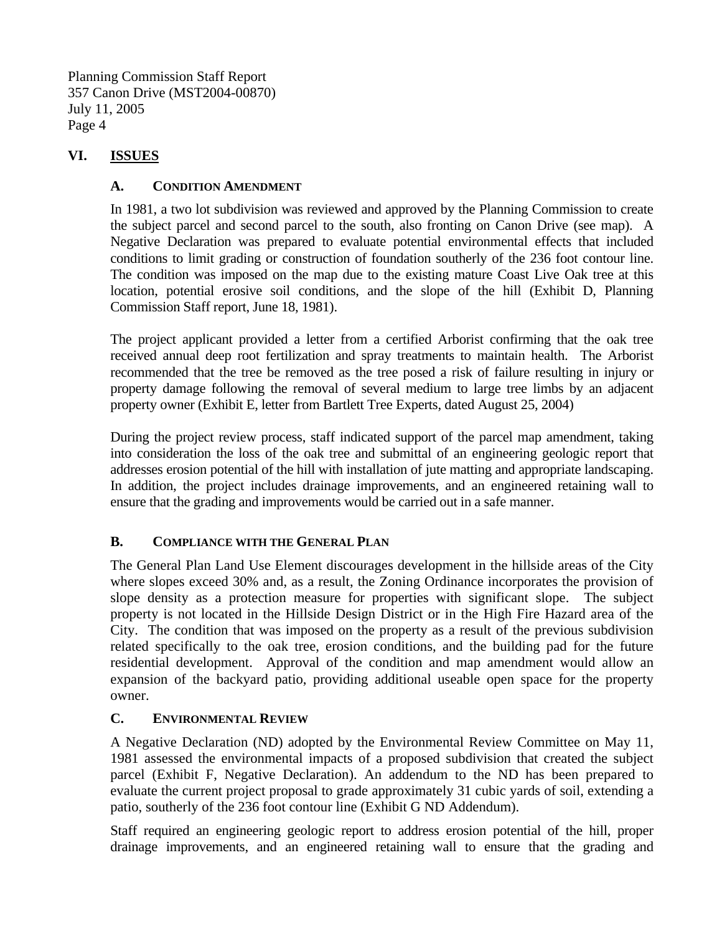## **VI. ISSUES**

#### **A. CONDITION AMENDMENT**

In 1981, a two lot subdivision was reviewed and approved by the Planning Commission to create the subject parcel and second parcel to the south, also fronting on Canon Drive (see map). A Negative Declaration was prepared to evaluate potential environmental effects that included conditions to limit grading or construction of foundation southerly of the 236 foot contour line. The condition was imposed on the map due to the existing mature Coast Live Oak tree at this location, potential erosive soil conditions, and the slope of the hill (Exhibit D, Planning Commission Staff report, June 18, 1981).

The project applicant provided a letter from a certified Arborist confirming that the oak tree received annual deep root fertilization and spray treatments to maintain health. The Arborist recommended that the tree be removed as the tree posed a risk of failure resulting in injury or property damage following the removal of several medium to large tree limbs by an adjacent property owner (Exhibit E, letter from Bartlett Tree Experts, dated August 25, 2004)

During the project review process, staff indicated support of the parcel map amendment, taking into consideration the loss of the oak tree and submittal of an engineering geologic report that addresses erosion potential of the hill with installation of jute matting and appropriate landscaping. In addition, the project includes drainage improvements, and an engineered retaining wall to ensure that the grading and improvements would be carried out in a safe manner.

## **B. COMPLIANCE WITH THE GENERAL PLAN**

The General Plan Land Use Element discourages development in the hillside areas of the City where slopes exceed 30% and, as a result, the Zoning Ordinance incorporates the provision of slope density as a protection measure for properties with significant slope. The subject property is not located in the Hillside Design District or in the High Fire Hazard area of the City. The condition that was imposed on the property as a result of the previous subdivision related specifically to the oak tree, erosion conditions, and the building pad for the future residential development. Approval of the condition and map amendment would allow an expansion of the backyard patio, providing additional useable open space for the property owner.

#### **C. ENVIRONMENTAL REVIEW**

A Negative Declaration (ND) adopted by the Environmental Review Committee on May 11, 1981 assessed the environmental impacts of a proposed subdivision that created the subject parcel (Exhibit F, Negative Declaration). An addendum to the ND has been prepared to evaluate the current project proposal to grade approximately 31 cubic yards of soil, extending a patio, southerly of the 236 foot contour line (Exhibit G ND Addendum).

Staff required an engineering geologic report to address erosion potential of the hill, proper drainage improvements, and an engineered retaining wall to ensure that the grading and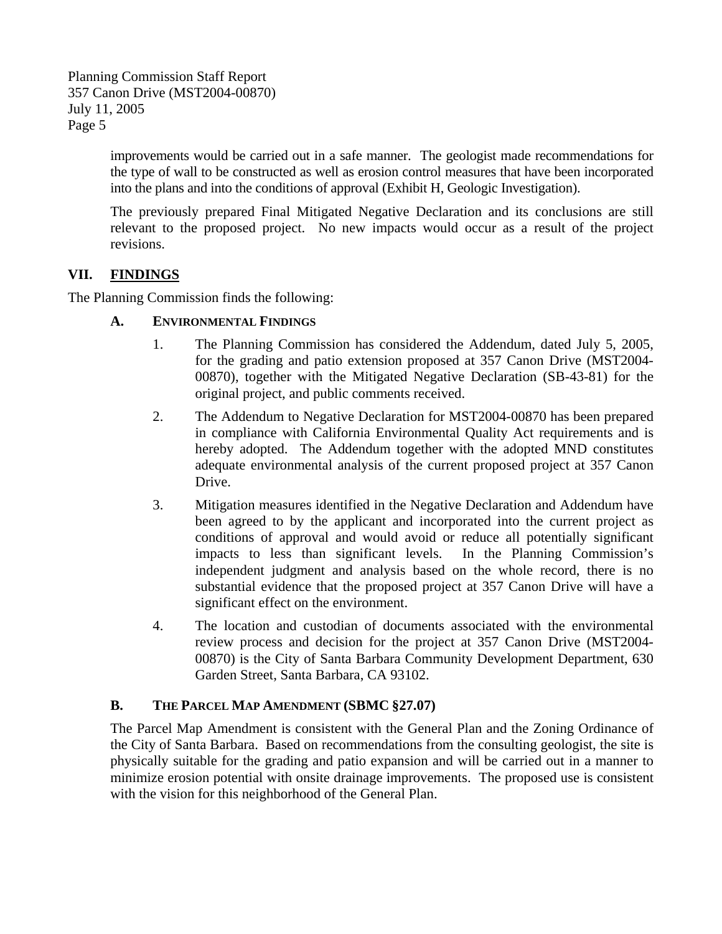> improvements would be carried out in a safe manner. The geologist made recommendations for the type of wall to be constructed as well as erosion control measures that have been incorporated into the plans and into the conditions of approval (Exhibit H, Geologic Investigation).

> The previously prepared Final Mitigated Negative Declaration and its conclusions are still relevant to the proposed project. No new impacts would occur as a result of the project revisions.

## **VII. FINDINGS**

The Planning Commission finds the following:

#### **A. ENVIRONMENTAL FINDINGS**

- 1. The Planning Commission has considered the Addendum, dated July 5, 2005, for the grading and patio extension proposed at 357 Canon Drive (MST2004- 00870), together with the Mitigated Negative Declaration (SB-43-81) for the original project, and public comments received.
- 2. The Addendum to Negative Declaration for MST2004-00870 has been prepared in compliance with California Environmental Quality Act requirements and is hereby adopted. The Addendum together with the adopted MND constitutes adequate environmental analysis of the current proposed project at 357 Canon Drive.
- 3. Mitigation measures identified in the Negative Declaration and Addendum have been agreed to by the applicant and incorporated into the current project as conditions of approval and would avoid or reduce all potentially significant impacts to less than significant levels. In the Planning Commission's independent judgment and analysis based on the whole record, there is no substantial evidence that the proposed project at 357 Canon Drive will have a significant effect on the environment.
- 4. The location and custodian of documents associated with the environmental review process and decision for the project at 357 Canon Drive (MST2004- 00870) is the City of Santa Barbara Community Development Department, 630 Garden Street, Santa Barbara, CA 93102.

#### **B. THE PARCEL MAP AMENDMENT (SBMC §27.07)**

The Parcel Map Amendment is consistent with the General Plan and the Zoning Ordinance of the City of Santa Barbara. Based on recommendations from the consulting geologist, the site is physically suitable for the grading and patio expansion and will be carried out in a manner to minimize erosion potential with onsite drainage improvements. The proposed use is consistent with the vision for this neighborhood of the General Plan.